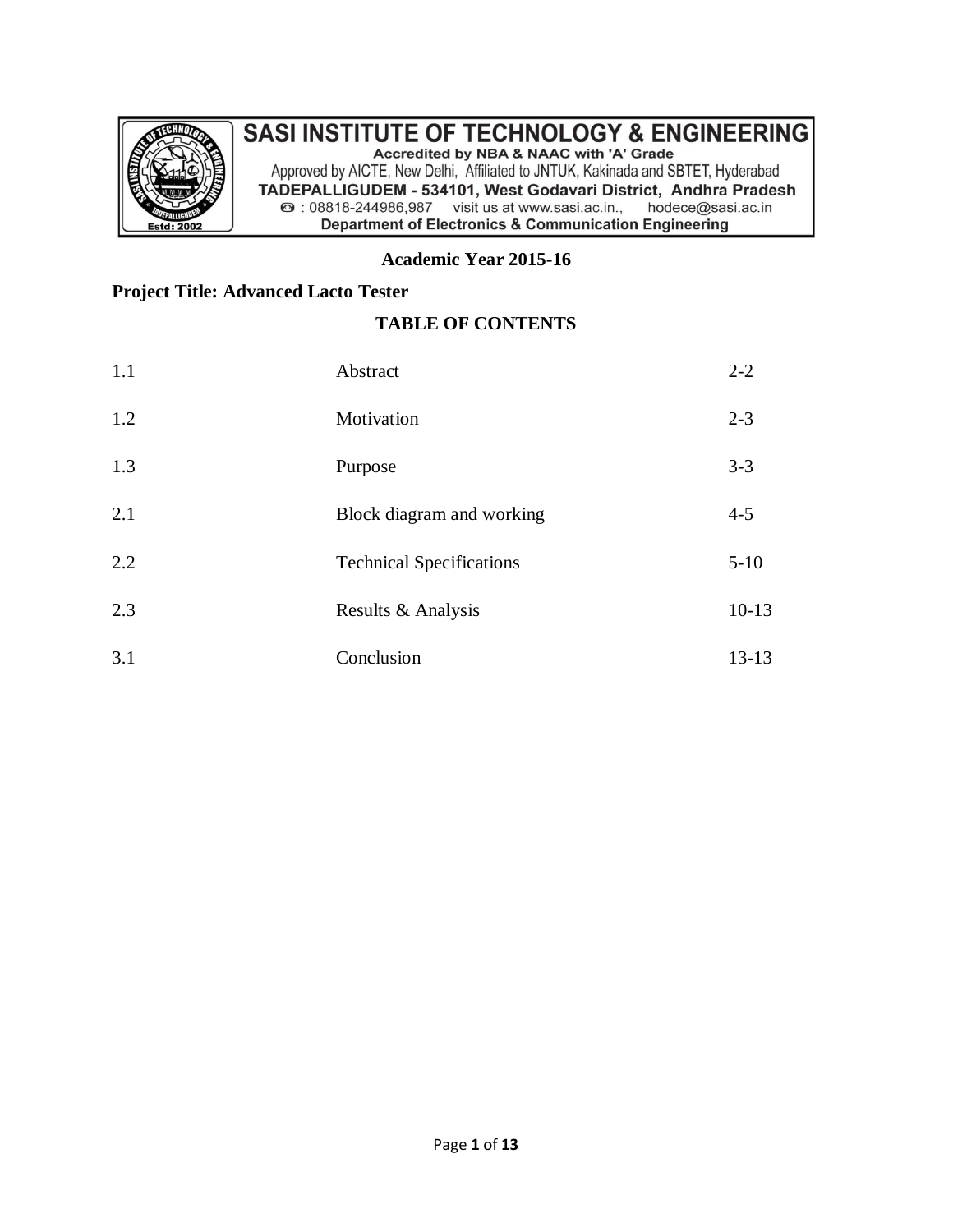

### **SASI INSTITUTE OF TECHNOLOGY & ENGINEERING** Accredited by NBA & NAAC with 'A' Grade

Approved by AICTE, New Delhi, Affiliated to JNTUK, Kakinada and SBTET, Hyderabad TADEPALLIGUDEM - 534101, West Godavari District, Andhra Pradesh 2 : 08818-244986,987 visit us at www.sasi.ac.in., hodece@sasi.ac.in **Department of Electronics & Communication Engineering** 

#### **Academic Year 2015-16**

## **Project Title: Advanced Lacto Tester**

### **TABLE OF CONTENTS**

| 1.1 | Abstract                        | $2 - 2$   |
|-----|---------------------------------|-----------|
| 1.2 | Motivation                      | $2 - 3$   |
| 1.3 | Purpose                         | $3 - 3$   |
| 2.1 | Block diagram and working       | $4 - 5$   |
| 2.2 | <b>Technical Specifications</b> | $5 - 10$  |
| 2.3 | Results & Analysis              | $10 - 13$ |
| 3.1 | Conclusion                      | $13 - 13$ |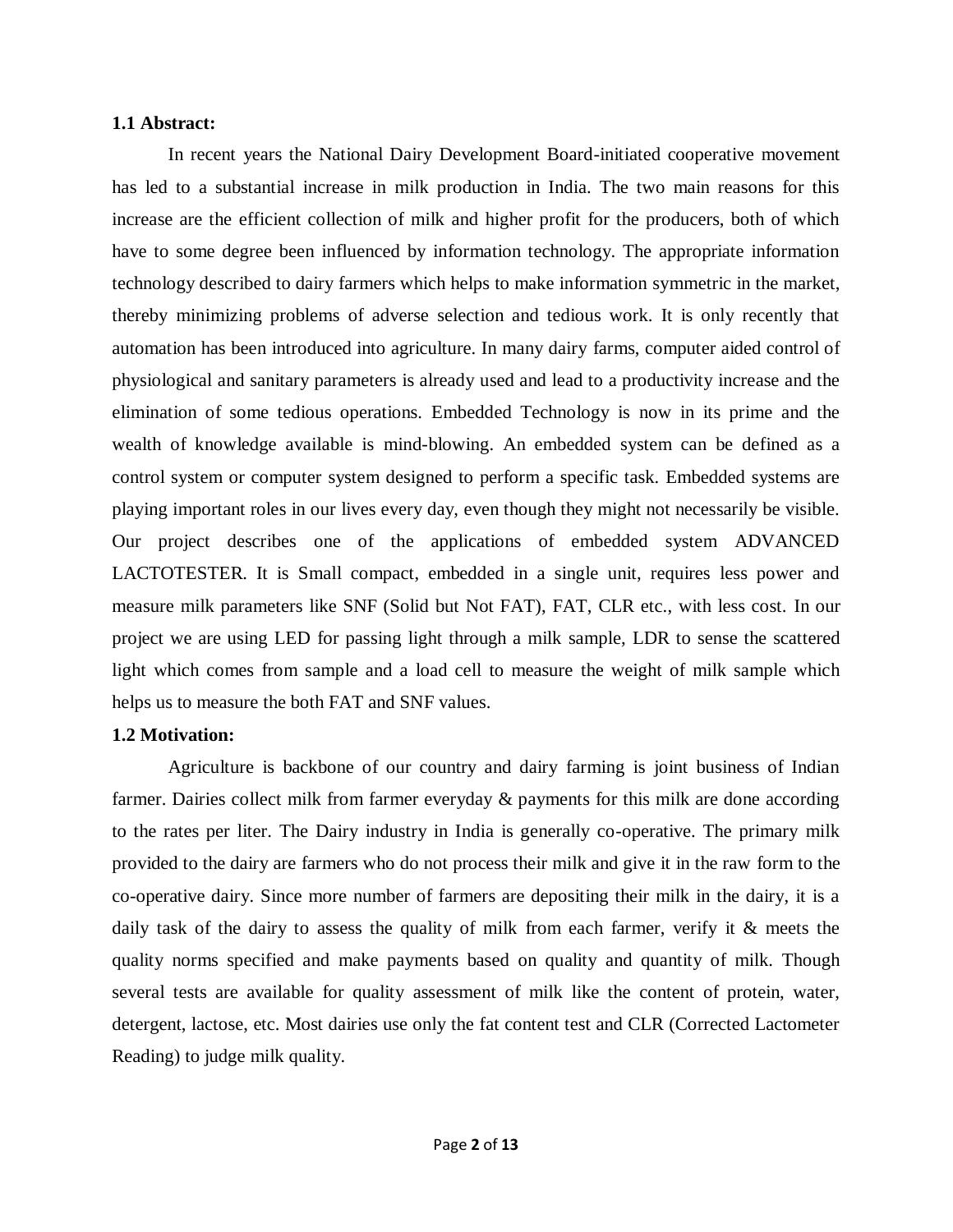#### **1.1 Abstract:**

In recent years the National Dairy Development Board-initiated cooperative movement has led to a substantial increase in milk production in India. The two main reasons for this increase are the efficient collection of milk and higher profit for the producers, both of which have to some degree been influenced by information technology. The appropriate information technology described to dairy farmers which helps to make information symmetric in the market, thereby minimizing problems of adverse selection and tedious work. It is only recently that automation has been introduced into agriculture. In many dairy farms, computer aided control of physiological and sanitary parameters is already used and lead to a productivity increase and the elimination of some tedious operations. Embedded Technology is now in its prime and the wealth of knowledge available is mind-blowing. An embedded system can be defined as a control system or computer system designed to perform a specific task. Embedded systems are playing important roles in our lives every day, even though they might not necessarily be visible. Our project describes one of the applications of embedded system ADVANCED LACTOTESTER. It is Small compact, embedded in a single unit, requires less power and measure milk parameters like SNF (Solid but Not FAT), FAT, CLR etc., with less cost. In our project we are using LED for passing light through a milk sample, LDR to sense the scattered light which comes from sample and a load cell to measure the weight of milk sample which helps us to measure the both FAT and SNF values.

#### **1.2 Motivation:**

Agriculture is backbone of our country and dairy farming is joint business of Indian farmer. Dairies collect milk from farmer everyday & payments for this milk are done according to the rates per liter. The Dairy industry in India is generally co-operative. The primary milk provided to the dairy are farmers who do not process their milk and give it in the raw form to the co-operative dairy. Since more number of farmers are depositing their milk in the dairy, it is a daily task of the dairy to assess the quality of milk from each farmer, verify it & meets the quality norms specified and make payments based on quality and quantity of milk. Though several tests are available for quality assessment of milk like the content of protein, water, detergent, lactose, etc. Most dairies use only the fat content test and CLR (Corrected Lactometer Reading) to judge milk quality.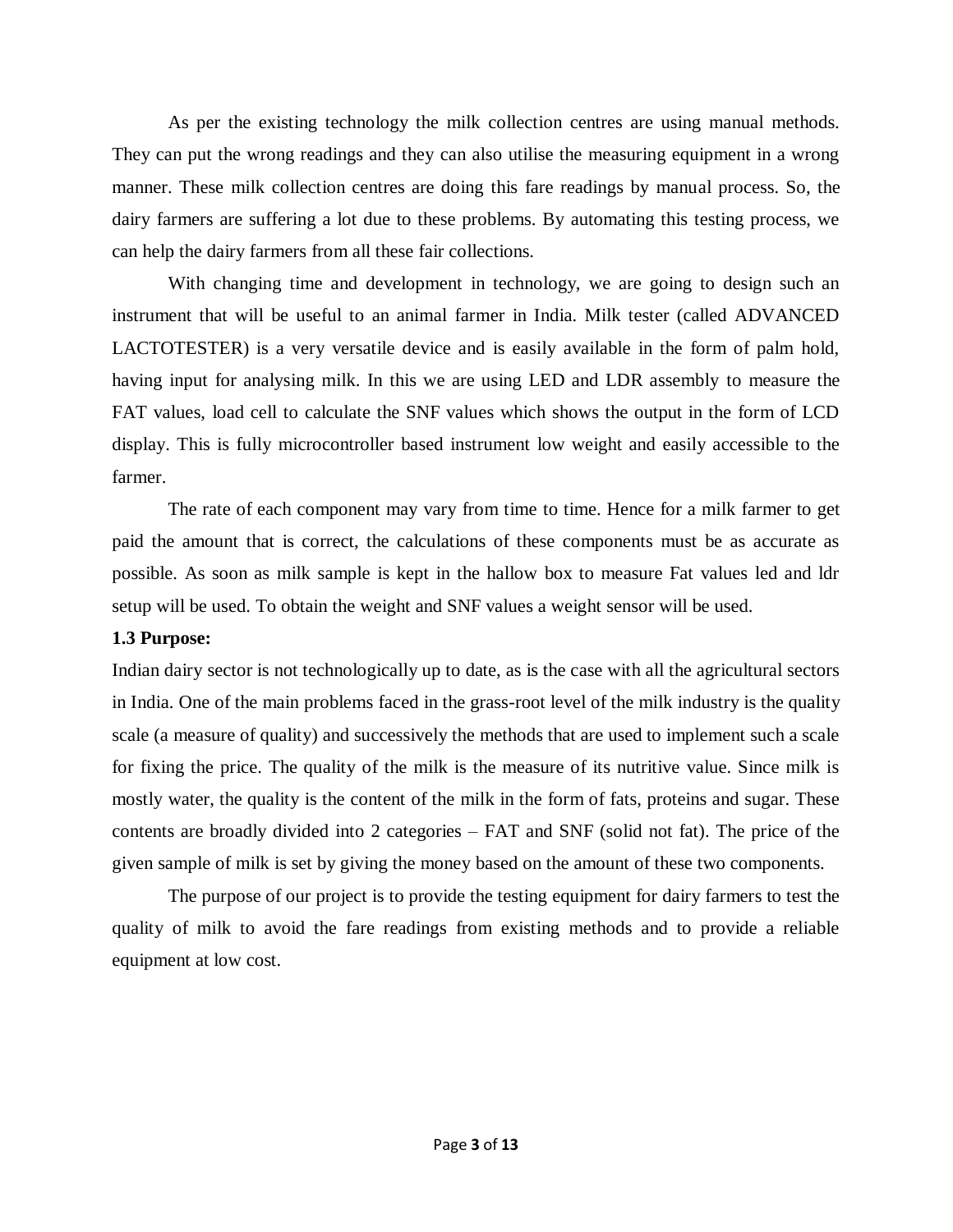As per the existing technology the milk collection centres are using manual methods. They can put the wrong readings and they can also utilise the measuring equipment in a wrong manner. These milk collection centres are doing this fare readings by manual process. So, the dairy farmers are suffering a lot due to these problems. By automating this testing process, we can help the dairy farmers from all these fair collections.

With changing time and development in technology, we are going to design such an instrument that will be useful to an animal farmer in India. Milk tester (called ADVANCED LACTOTESTER) is a very versatile device and is easily available in the form of palm hold, having input for analysing milk. In this we are using LED and LDR assembly to measure the FAT values, load cell to calculate the SNF values which shows the output in the form of LCD display. This is fully microcontroller based instrument low weight and easily accessible to the farmer.

The rate of each component may vary from time to time. Hence for a milk farmer to get paid the amount that is correct, the calculations of these components must be as accurate as possible. As soon as milk sample is kept in the hallow box to measure Fat values led and ldr setup will be used. To obtain the weight and SNF values a weight sensor will be used.

#### **1.3 Purpose:**

Indian dairy sector is not technologically up to date, as is the case with all the agricultural sectors in India. One of the main problems faced in the grass-root level of the milk industry is the quality scale (a measure of quality) and successively the methods that are used to implement such a scale for fixing the price. The quality of the milk is the measure of its nutritive value. Since milk is mostly water, the quality is the content of the milk in the form of fats, proteins and sugar. These contents are broadly divided into 2 categories – FAT and SNF (solid not fat). The price of the given sample of milk is set by giving the money based on the amount of these two components.

The purpose of our project is to provide the testing equipment for dairy farmers to test the quality of milk to avoid the fare readings from existing methods and to provide a reliable equipment at low cost.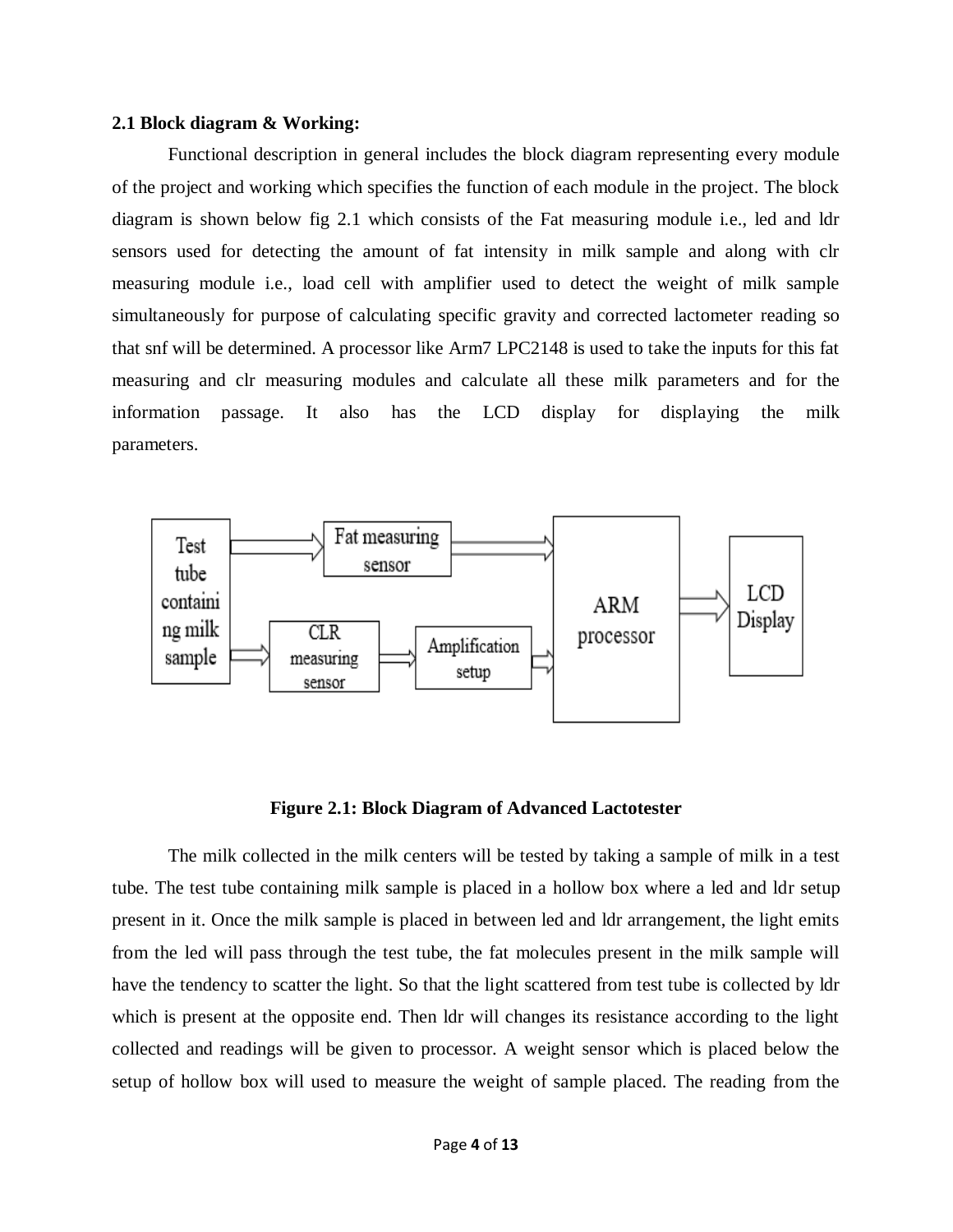#### **2.1 Block diagram & Working:**

Functional description in general includes the block diagram representing every module of the project and working which specifies the function of each module in the project. The block diagram is shown below fig 2.1 which consists of the Fat measuring module i.e., led and ldr sensors used for detecting the amount of fat intensity in milk sample and along with clr measuring module i.e., load cell with amplifier used to detect the weight of milk sample simultaneously for purpose of calculating specific gravity and corrected lactometer reading so that snf will be determined. A processor like Arm7 LPC2148 is used to take the inputs for this fat measuring and clr measuring modules and calculate all these milk parameters and for the information passage. It also has the LCD display for displaying the milk parameters.



#### **Figure 2.1: Block Diagram of Advanced Lactotester**

The milk collected in the milk centers will be tested by taking a sample of milk in a test tube. The test tube containing milk sample is placed in a hollow box where a led and ldr setup present in it. Once the milk sample is placed in between led and ldr arrangement, the light emits from the led will pass through the test tube, the fat molecules present in the milk sample will have the tendency to scatter the light. So that the light scattered from test tube is collected by ldr which is present at the opposite end. Then ldr will changes its resistance according to the light collected and readings will be given to processor. A weight sensor which is placed below the setup of hollow box will used to measure the weight of sample placed. The reading from the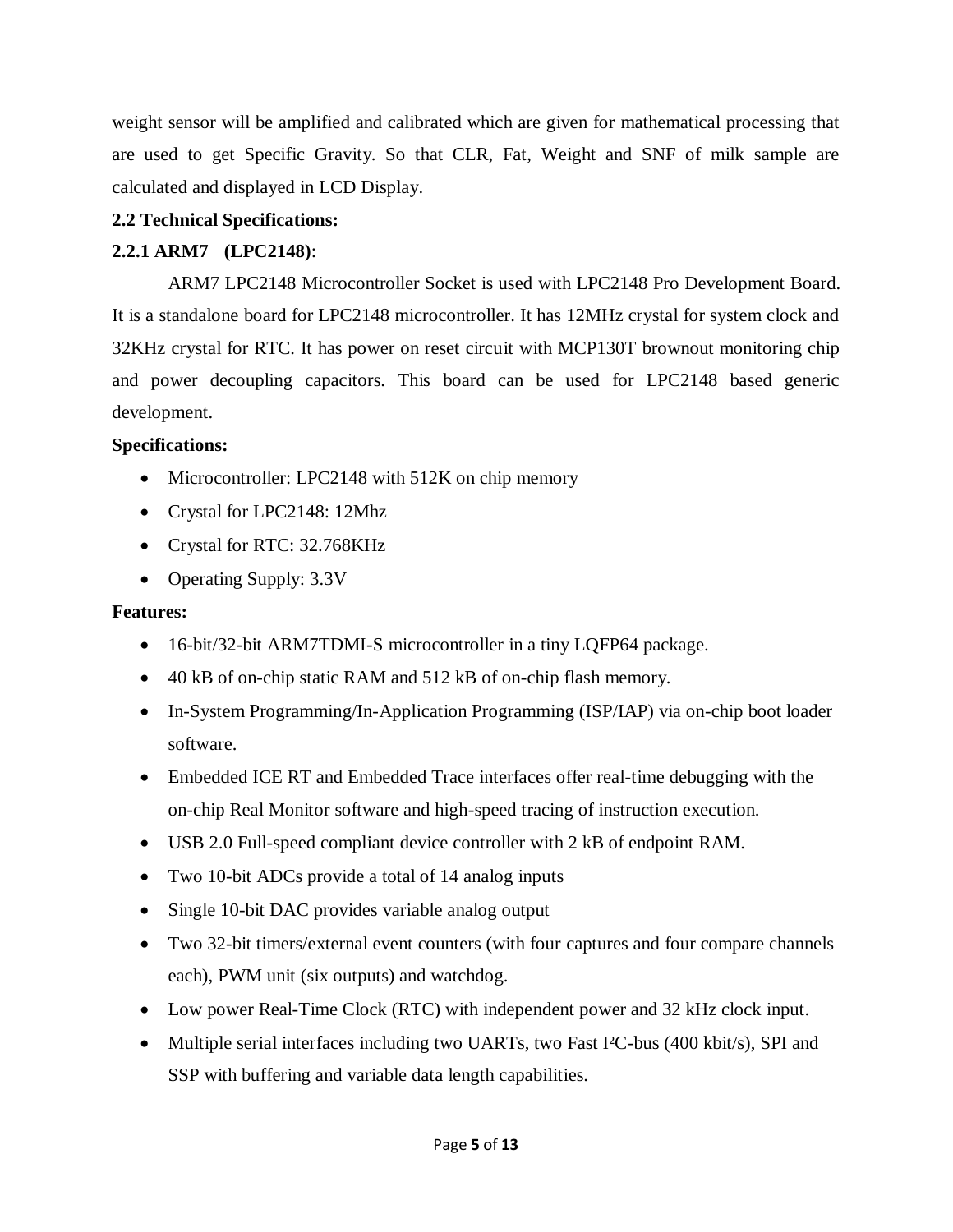weight sensor will be amplified and calibrated which are given for mathematical processing that are used to get Specific Gravity. So that CLR, Fat, Weight and SNF of milk sample are calculated and displayed in LCD Display.

## **2.2 Technical Specifications:**

# **2.2.1 ARM7 (LPC2148)**:

ARM7 LPC2148 Microcontroller Socket is used with [LPC2148 Pro Development Board.](http://www.nex-robotics.com/products-topmenu-45.html?page=shop.product_details&flypage=flypage.tpl&product_id=894&category_id=123&option=com_virtuemart&Itemid=45) It is a standalone board for LPC2148 microcontroller. It has 12MHz crystal for system clock and 32KHz crystal for RTC. It has power on reset circuit with MCP130T brownout monitoring chip and power decoupling capacitors. This board can be used for LPC2148 based generic development.

### **Specifications:**

- Microcontroller: LPC2148 with 512K on chip memory
- Crystal for LPC2148: 12Mhz
- Crystal for RTC: 32.768KHz
- Operating Supply: 3.3V

### **Features:**

- 16-bit/32-bit ARM7TDMI-S microcontroller in a tiny LQFP64 package.
- 40 kB of on-chip static RAM and 512 kB of on-chip flash memory.
- In-System Programming/In-Application Programming (ISP/IAP) via on-chip boot loader software.
- Embedded ICE RT and Embedded Trace interfaces offer real-time debugging with the on-chip Real Monitor software and high-speed tracing of instruction execution.
- USB 2.0 Full-speed compliant device controller with 2 kB of endpoint RAM.
- Two 10-bit ADCs provide a total of 14 analog inputs
- Single 10-bit DAC provides variable analog output
- Two 32-bit timers/external event counters (with four captures and four compare channels each), PWM unit (six outputs) and watchdog.
- Low power Real-Time Clock (RTC) with independent power and 32 kHz clock input.
- Multiple serial interfaces including two UARTs, two Fast I<sup>2</sup>C-bus (400 kbit/s), SPI and SSP with buffering and variable data length capabilities.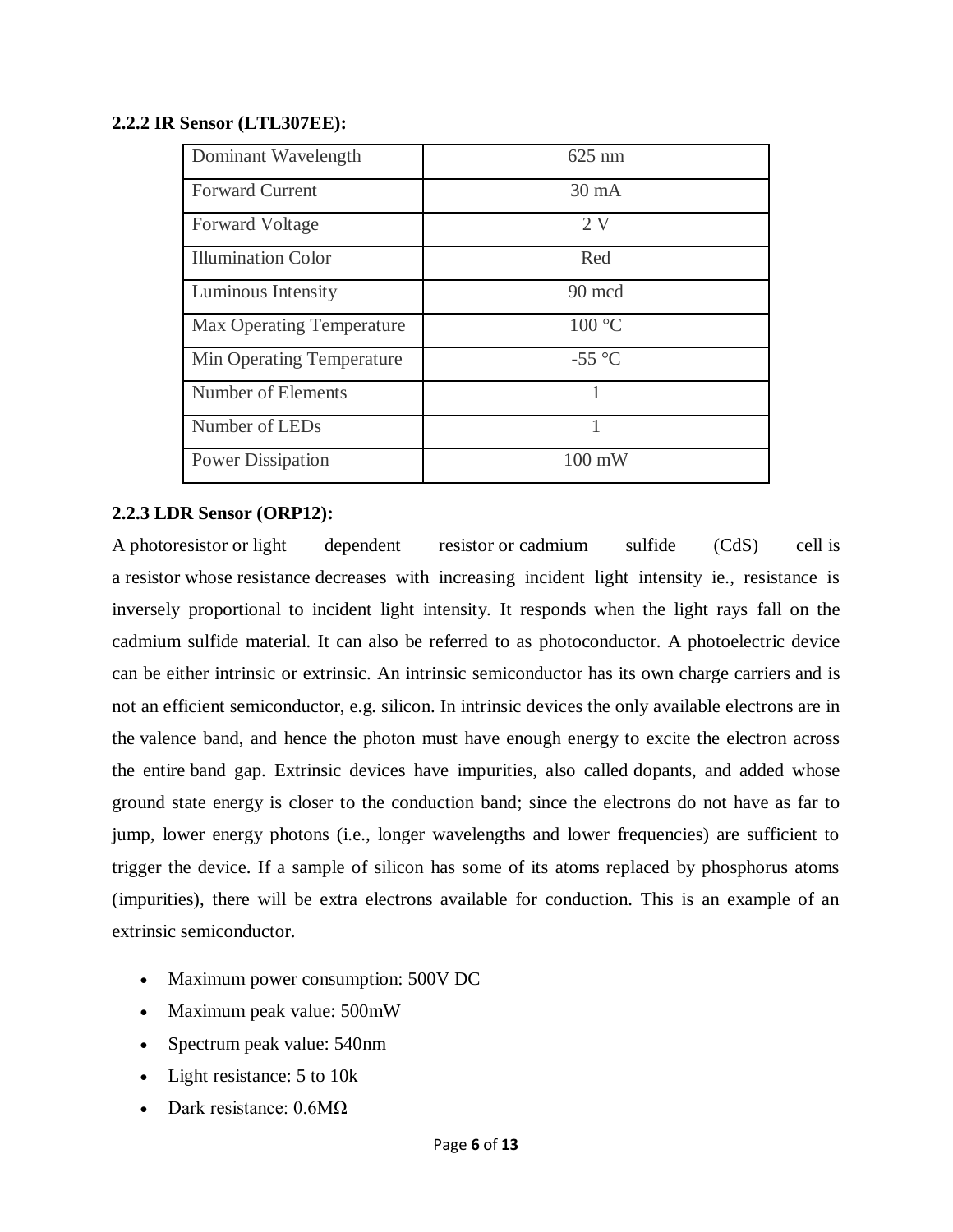#### **2.2.2 IR Sensor (LTL307EE):**

| Dominant Wavelength              | 625 nm          |
|----------------------------------|-----------------|
| <b>Forward Current</b>           | $30 \text{ mA}$ |
| <b>Forward Voltage</b>           | 2V              |
| <b>Illumination Color</b>        | Red             |
| Luminous Intensity               | 90 mcd          |
| <b>Max Operating Temperature</b> | 100 °C          |
| Min Operating Temperature        | $-55^{\circ}$ C |
| Number of Elements               | 1               |
| Number of LEDs                   | 1               |
| <b>Power Dissipation</b>         | 100 mW          |

### **2.2.3 LDR Sensor (ORP12):**

A photoresistor or light dependent resistor or cadmium sulfide (CdS) cell is a resistor whose resistance decreases with increasing incident light intensity ie., resistance is inversely proportional to incident light intensity. It responds when the light rays fall on the cadmium sulfide material. It can also be referred to as photoconductor. A photoelectric device can be either intrinsic or extrinsic. An intrinsic semiconductor has its own charge carriers and is not an efficient semiconductor, e.g. silicon. In intrinsic devices the only available electrons are in the valence band, and hence the photon must have enough energy to excite the electron across the entire band gap. Extrinsic devices have impurities, also called dopants, and added whose ground state energy is closer to the conduction band; since the electrons do not have as far to jump, lower energy photons (i.e., longer wavelengths and lower frequencies) are sufficient to trigger the device. If a sample of silicon has some of its atoms replaced by phosphorus atoms (impurities), there will be extra electrons available for conduction. This is an example of an extrinsic semiconductor.

- Maximum power consumption: 500V DC
- Maximum peak value: 500mW
- Spectrum peak value: 540nm
- Light resistance: 5 to 10k
- Dark resistance: 0.6MΩ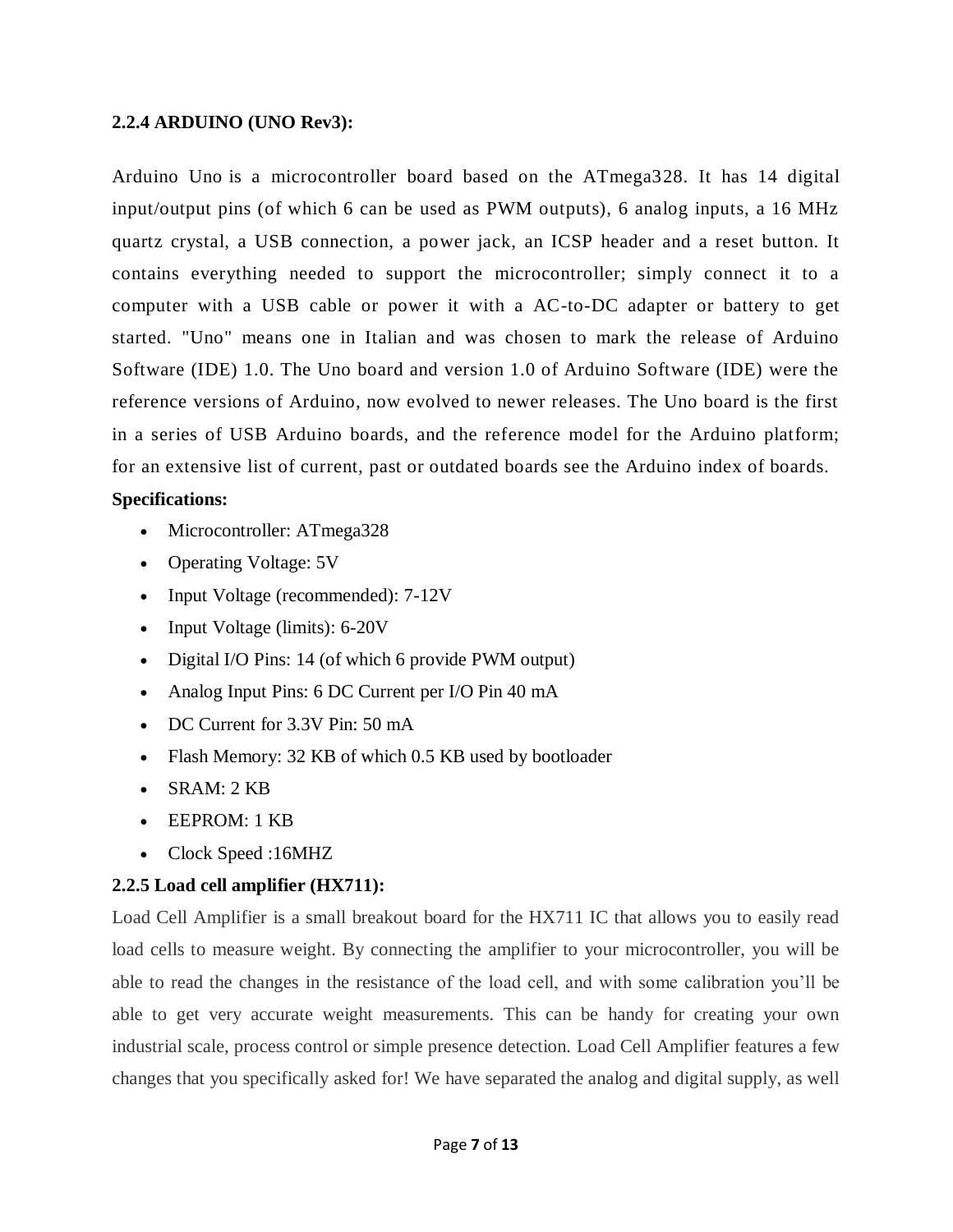#### **2.2.4 ARDUINO (UNO Rev3):**

Arduino Uno is a microcontroller board based on the ATmega328. It has 14 digital input/output pins (of which 6 can be used as PWM outputs), 6 analog inputs, a 16 MHz quartz crystal, a USB connection, a power jack, an ICSP header and a reset button. It contains everything needed to support the microcontroller; simply connect it to a computer with a USB cable or power it with a AC-to-DC adapter or battery to get started. "Uno" means one in Italian and was chosen to mark the release of Arduino Software (IDE) 1.0. The Uno board and version 1.0 of Arduino Software (IDE) were the reference versions of Arduino, now evolved to newer releases. The Uno board is the first in a series of USB Arduino boards, and the reference model for the Arduino platform; for an extensive list of current, past or outdated boards see the Arduino index of boards.

#### **Specifications:**

- Microcontroller: ATmega328
- Operating Voltage: 5V
- Input Voltage (recommended): 7-12V
- Input Voltage (limits): 6-20V
- Digital I/O Pins: 14 (of which 6 provide PWM output)
- Analog Input Pins: 6 DC Current per I/O Pin 40 mA
- DC Current for 3.3V Pin: 50 mA
- Flash Memory: 32 KB of which 0.5 KB used by bootloader
- SRAM: 2 KB
- EEPROM: 1 KB
- Clock Speed :16MHZ

#### **2.2.5 Load cell amplifier (HX711):**

Load Cell Amplifier is a small breakout board for the HX711 IC that allows you to easily read load cells to measure weight. By connecting the amplifier to your microcontroller, you will be able to read the changes in the resistance of the load cell, and with some calibration you'll be able to get very accurate weight measurements. This can be handy for creating your own industrial scale, process control or simple presence detection. Load Cell Amplifier features a few changes that you specifically asked for! We have separated the analog and digital supply, as well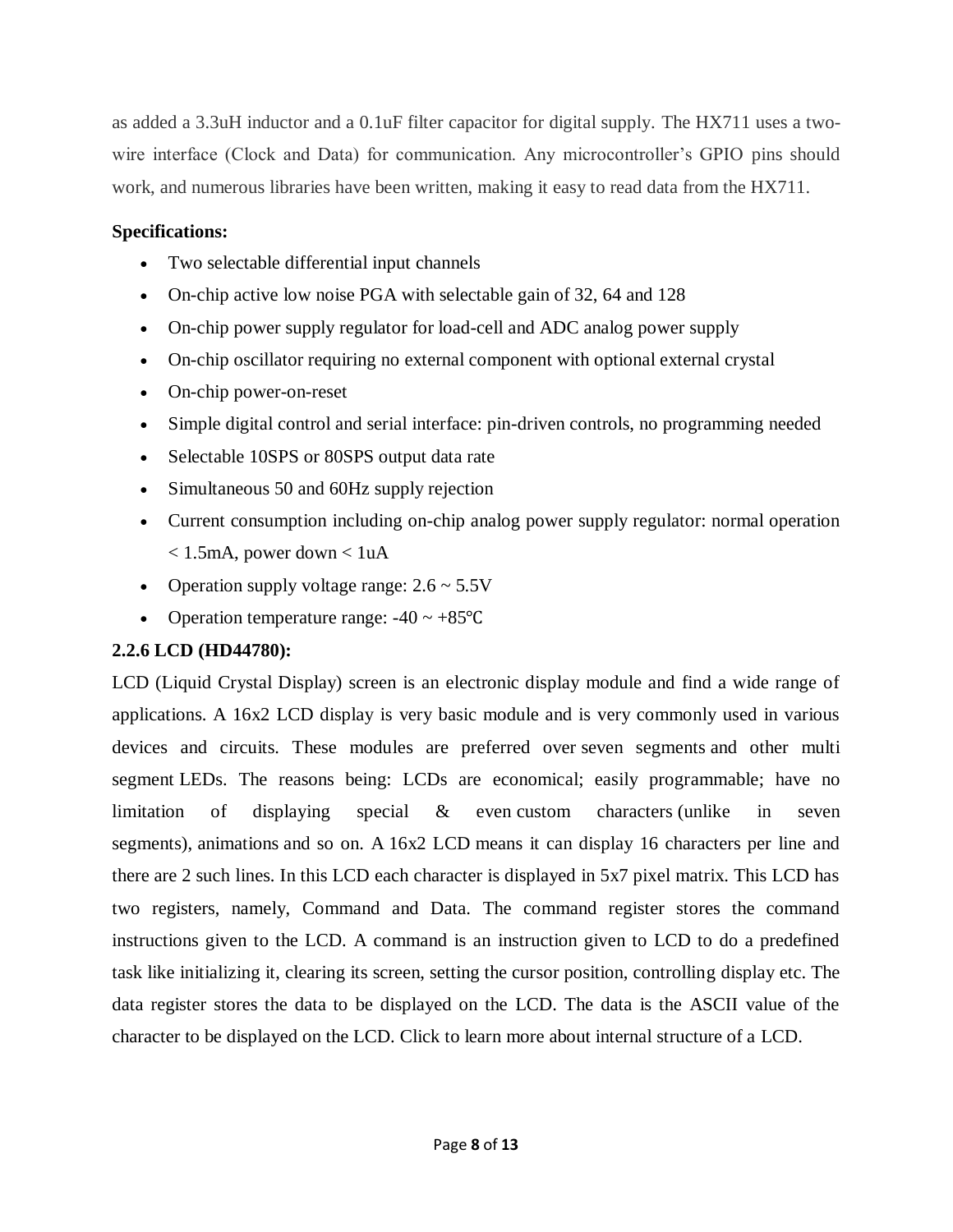as added a 3.3uH inductor and a 0.1uF filter capacitor for digital supply. The HX711 uses a twowire interface (Clock and Data) for communication. Any microcontroller's GPIO pins should work, and numerous libraries have been written, making it easy to read data from the HX711.

#### **Specifications:**

- Two selectable differential input channels
- On-chip active low noise PGA with selectable gain of 32, 64 and 128
- On-chip power supply regulator for load-cell and ADC analog power supply
- On-chip oscillator requiring no external component with optional external crystal
- On-chip power-on-reset
- Simple digital control and serial interface: pin-driven controls, no programming needed
- Selectable 10SPS or 80SPS output data rate
- Simultaneous 50 and 60Hz supply rejection
- Current consumption including on-chip analog power supply regulator: normal operation  $< 1.5$ mA, power down  $< 1 uA$
- Operation supply voltage range:  $2.6 \sim 5.5V$
- Operation temperature range:  $-40 \sim +85^{\circ}C$

# **2.2.6 LCD (HD44780):**

LCD (Liquid Crystal Display) screen is an electronic display module and find a wide range of applications. A 16x2 LCD display is very basic module and is very commonly used in various devices and circuits. These modules are preferred over [seven segments](http://www.engineersgarage.com/content/seven-segment-display) and other multi segment [LEDs](http://www.engineersgarage.com/content/led). The reasons being: LCDs are economical; easily programmable; have no limitation of displaying special & even [custom characters](http://www.engineersgarage.com/microcontroller/8051projects/create-custom-characters-LCD-AT89C51) (unlike in seven segments), [animations](http://www.engineersgarage.com/microcontroller/8051projects/display-custom-animations-LCD-AT89C51) and so on. A 16x2 LCD means it can display 16 characters per line and there are 2 such lines. In this LCD each character is displayed in 5x7 pixel matrix. This LCD has two registers, namely, Command and Data. The command register stores the command instructions given to the LCD. A command is an instruction given to LCD to do a predefined task like initializing it, clearing its screen, setting the cursor position, controlling display etc. The data register stores the data to be displayed on the LCD. The data is the ASCII value of the character to be displayed on the LCD. Click to learn more about internal structure of a [LCD.](http://www.engineersgarage.com/insight/how-lcd-works)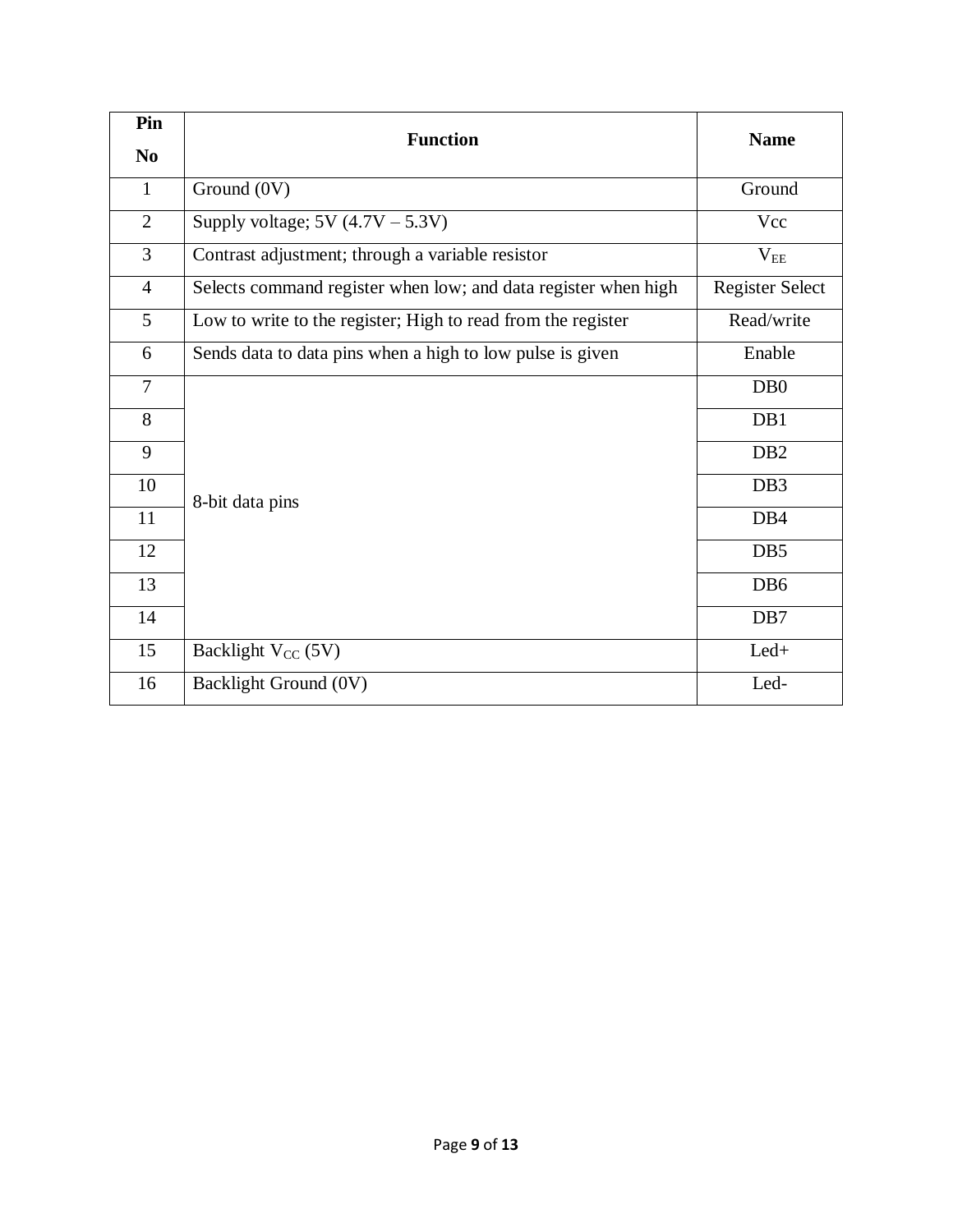| Pin<br>N <sub>0</sub> | <b>Function</b>                                                | <b>Name</b>            |
|-----------------------|----------------------------------------------------------------|------------------------|
| $\mathbf{1}$          | Ground (0V)                                                    | Ground                 |
| $\overline{2}$        | Supply voltage; $5V(4.7V - 5.3V)$                              | Vcc                    |
| $\overline{3}$        | Contrast adjustment; through a variable resistor               | $V_{EE}$               |
| $\overline{4}$        | Selects command register when low; and data register when high | <b>Register Select</b> |
| 5                     | Low to write to the register; High to read from the register   | Read/write             |
| 6                     | Sends data to data pins when a high to low pulse is given      | Enable                 |
| $\overline{7}$        |                                                                | D <sub>B</sub> 0       |
| 8                     |                                                                | DB1                    |
| 9                     |                                                                | DB <sub>2</sub>        |
| 10                    | 8-bit data pins                                                | DB <sub>3</sub>        |
| 11                    |                                                                | DB4                    |
| 12                    |                                                                | DB5                    |
| 13                    |                                                                | DB <sub>6</sub>        |
| 14                    |                                                                | DB7                    |
| 15                    | Backlight $V_{CC}$ (5V)                                        | $Led+$                 |
| 16                    | Backlight Ground (0V)                                          | Led-                   |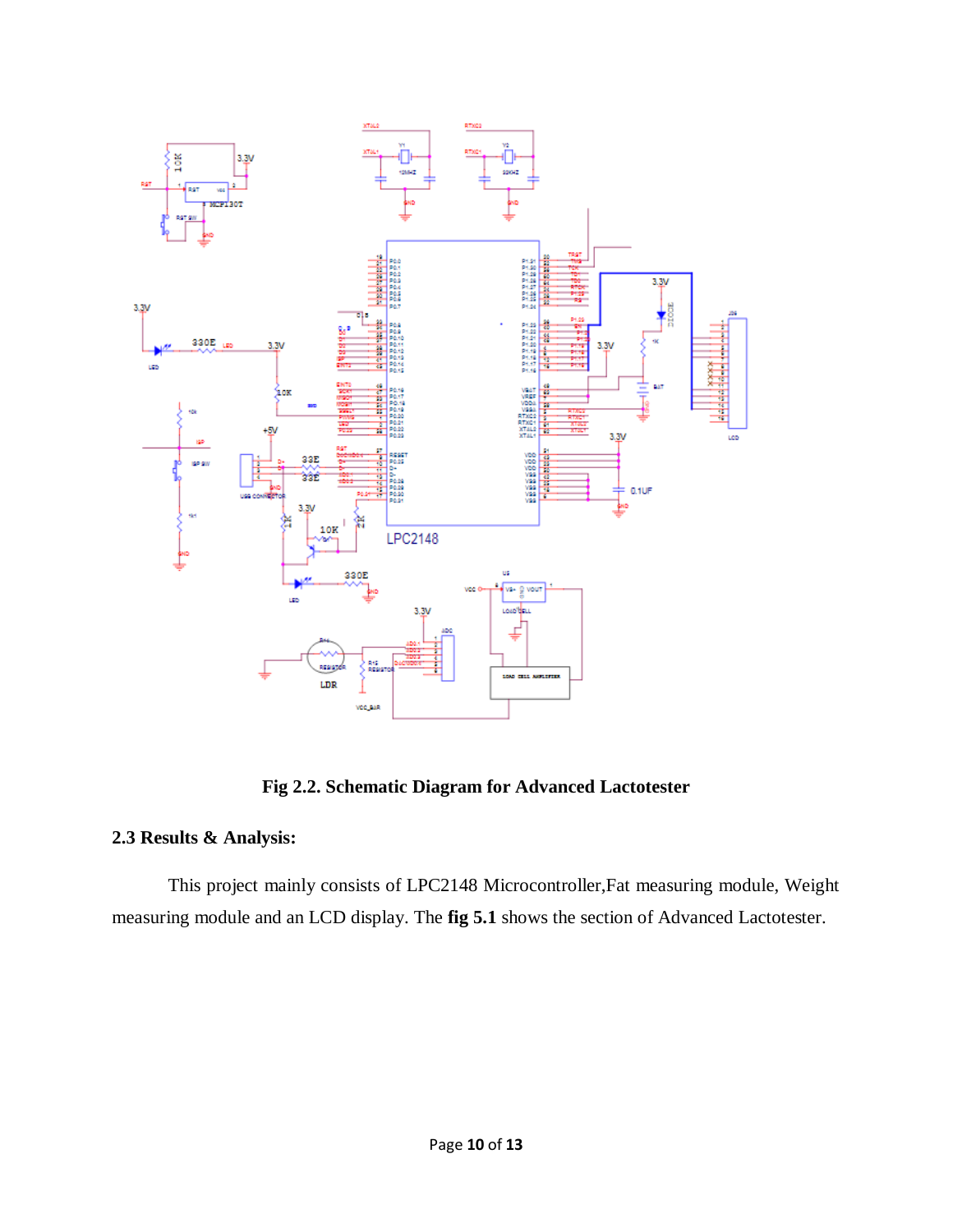

**Fig 2.2. Schematic Diagram for Advanced Lactotester**

#### **2.3 Results & Analysis:**

This project mainly consists of LPC2148 Microcontroller,Fat measuring module, Weight measuring module and an LCD display. The **fig 5.1** shows the section of Advanced Lactotester.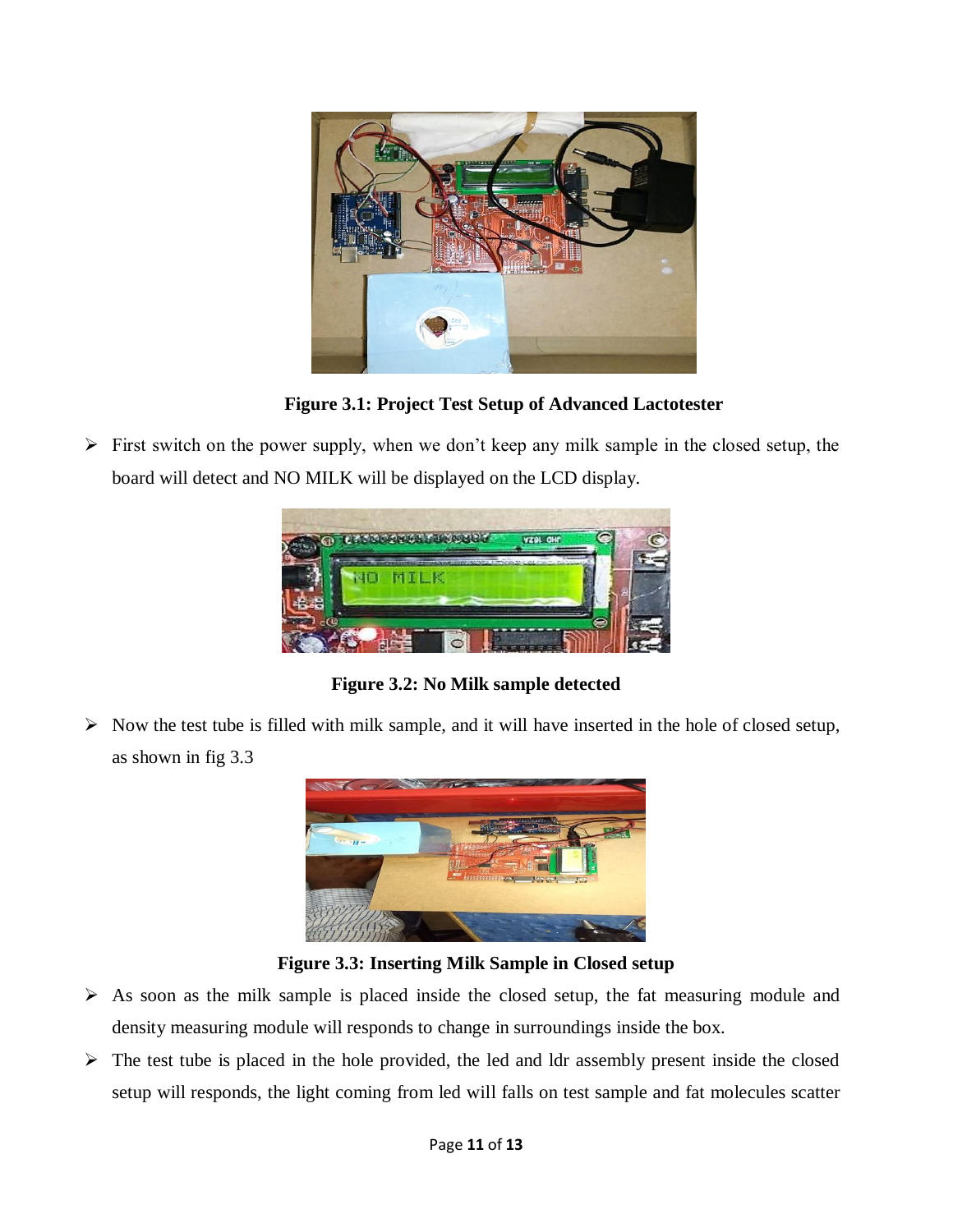

**Figure 3.1: Project Test Setup of Advanced Lactotester**

 $\triangleright$  First switch on the power supply, when we don't keep any milk sample in the closed setup, the board will detect and NO MILK will be displayed on the LCD display.



**Figure 3.2: No Milk sample detected**

 $\triangleright$  Now the test tube is filled with milk sample, and it will have inserted in the hole of closed setup, as shown in fig 3.3



**Figure 3.3: Inserting Milk Sample in Closed setup**

- $\triangleright$  As soon as the milk sample is placed inside the closed setup, the fat measuring module and density measuring module will responds to change in surroundings inside the box.
- $\triangleright$  The test tube is placed in the hole provided, the led and ldr assembly present inside the closed setup will responds, the light coming from led will falls on test sample and fat molecules scatter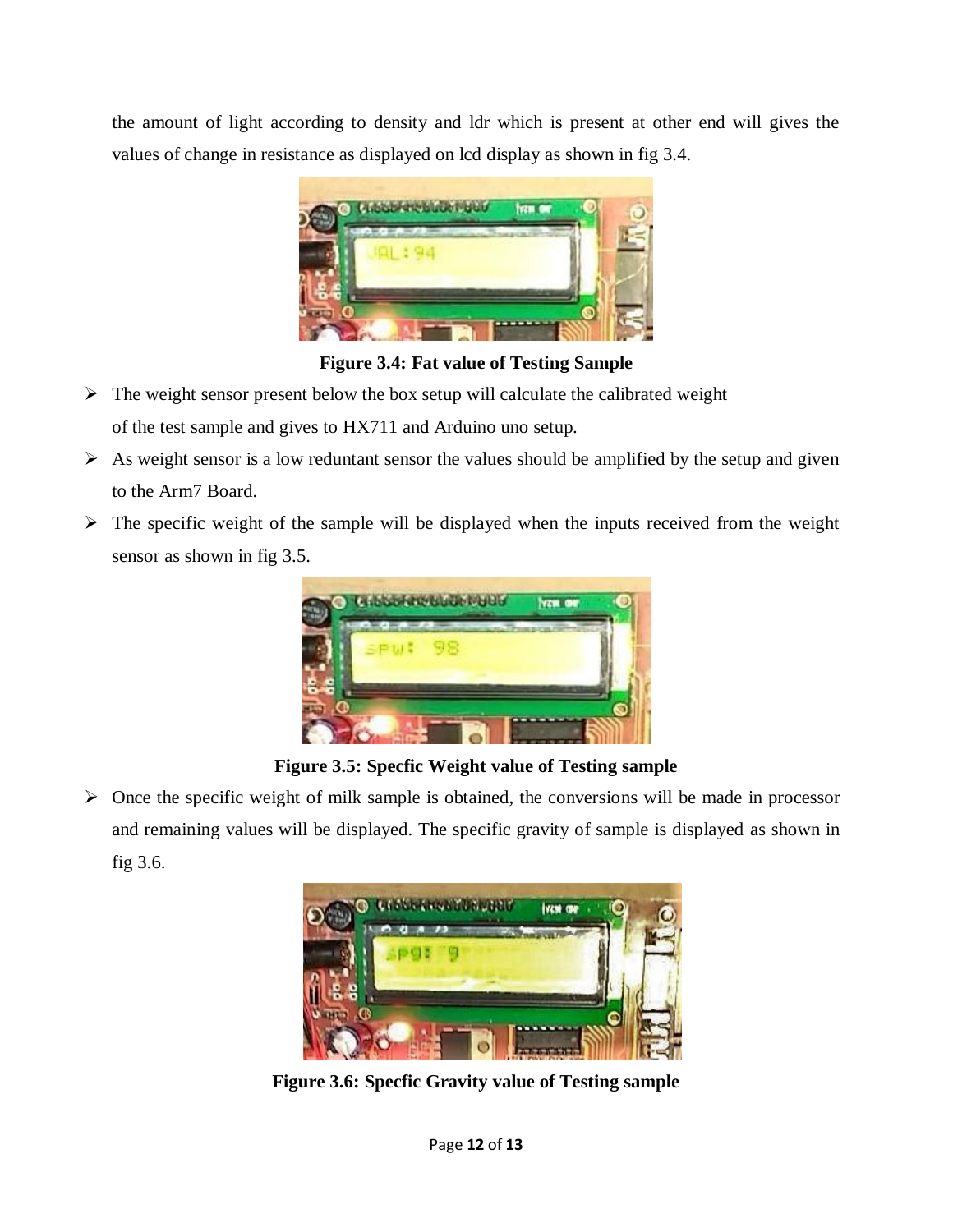the amount of light according to density and ldr which is present at other end will gives the values of change in resistance as displayed on lcd display as shown in fig 3.4.



**Figure 3.4: Fat value of Testing Sample**

- $\triangleright$  The weight sensor present below the box setup will calculate the calibrated weight of the test sample and gives to HX711 and Arduino uno setup.
- $\triangleright$  As weight sensor is a low reduntant sensor the values should be amplified by the setup and given to the Arm7 Board.
- $\triangleright$  The specific weight of the sample will be displayed when the inputs received from the weight sensor as shown in fig 3.5.



**Figure 3.5: Specfic Weight value of Testing sample**

 $\triangleright$  Once the specific weight of milk sample is obtained, the conversions will be made in processor and remaining values will be displayed. The specific gravity of sample is displayed as shown in fig 3.6.



**Figure 3.6: Specfic Gravity value of Testing sample**